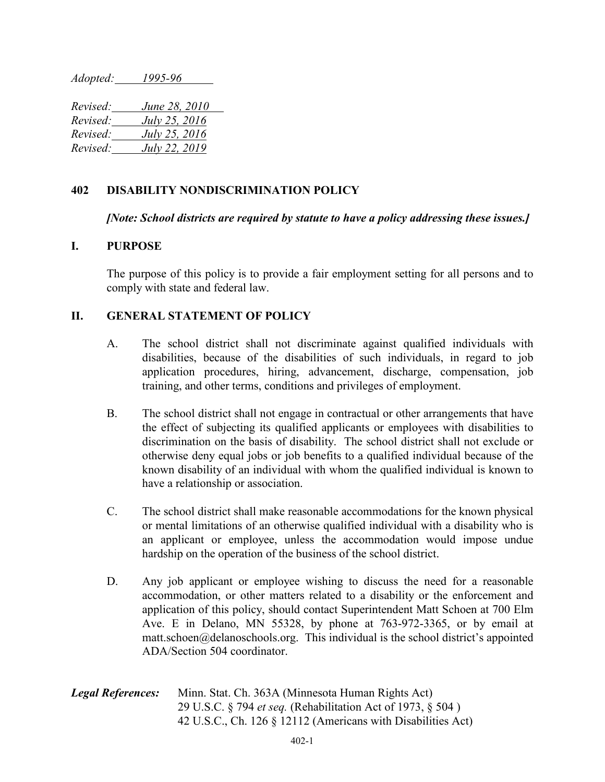*Adopted: 1995-96*

*Revised: June 28, 2010 Revised: July 25, 2016 Revised: July 25, 2016 Revised: July 22, 2019*

## **402 DISABILITY NONDISCRIMINATION POLICY**

*[Note: School districts are required by statute to have a policy addressing these issues.]*

## **I. PURPOSE**

The purpose of this policy is to provide a fair employment setting for all persons and to comply with state and federal law.

## **II. GENERAL STATEMENT OF POLICY**

- A. The school district shall not discriminate against qualified individuals with disabilities, because of the disabilities of such individuals, in regard to job application procedures, hiring, advancement, discharge, compensation, job training, and other terms, conditions and privileges of employment.
- B. The school district shall not engage in contractual or other arrangements that have the effect of subjecting its qualified applicants or employees with disabilities to discrimination on the basis of disability. The school district shall not exclude or otherwise deny equal jobs or job benefits to a qualified individual because of the known disability of an individual with whom the qualified individual is known to have a relationship or association.
- C. The school district shall make reasonable accommodations for the known physical or mental limitations of an otherwise qualified individual with a disability who is an applicant or employee, unless the accommodation would impose undue hardship on the operation of the business of the school district.
- D. Any job applicant or employee wishing to discuss the need for a reasonable accommodation, or other matters related to a disability or the enforcement and application of this policy, should contact Superintendent Matt Schoen at 700 Elm Ave. E in Delano, MN 55328, by phone at 763-972-3365, or by email at  $m$ att.schoen@delanoschools.org. This individual is the school district's appointed ADA/Section 504 coordinator.

| <b>Legal References:</b> | Minn. Stat. Ch. 363A (Minnesota Human Rights Act)                  |
|--------------------------|--------------------------------------------------------------------|
|                          | 29 U.S.C. § 794 <i>et seq.</i> (Rehabilitation Act of 1973, § 504) |
|                          | 42 U.S.C., Ch. 126 § 12112 (Americans with Disabilities Act)       |